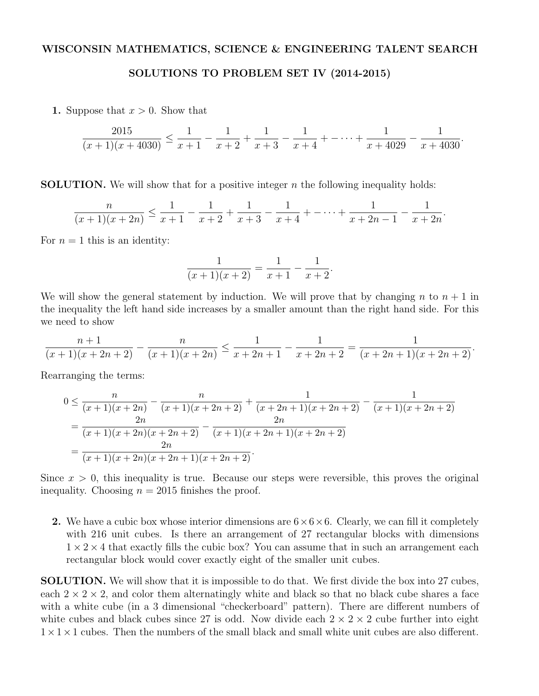## WISCONSIN MATHEMATICS, SCIENCE & ENGINEERING TALENT SEARCH

SOLUTIONS TO PROBLEM SET IV (2014-2015)

1. Suppose that  $x > 0$ . Show that

$$
\frac{2015}{(x+1)(x+4030)} \le \frac{1}{x+1} - \frac{1}{x+2} + \frac{1}{x+3} - \frac{1}{x+4} + \dots + \frac{1}{x+4029} - \frac{1}{x+4030}.
$$

SOLUTION. We will show that for a positive integer *n* the following inequality holds:

$$
\frac{n}{(x+1)(x+2n)} \le \frac{1}{x+1} - \frac{1}{x+2} + \frac{1}{x+3} - \frac{1}{x+4} + \dots + \frac{1}{x+2n-1} - \frac{1}{x+2n}.
$$

For  $n = 1$  this is an identity:

$$
\frac{1}{(x+1)(x+2)} = \frac{1}{x+1} - \frac{1}{x+2}.
$$

We will show the general statement by induction. We will prove that by changing *n* to  $n + 1$  in the inequality the left hand side increases by a smaller amount than the right hand side. For this we need to show

$$
\frac{n+1}{(x+1)(x+2n+2)} - \frac{n}{(x+1)(x+2n)} \le \frac{1}{x+2n+1} - \frac{1}{x+2n+2} = \frac{1}{(x+2n+1)(x+2n+2)}.
$$

Rearranging the terms:

$$
0 \le \frac{n}{(x+1)(x+2n)} - \frac{n}{(x+1)(x+2n+2)} + \frac{1}{(x+2n+1)(x+2n+2)} - \frac{1}{(x+1)(x+2n+2)}
$$
  
= 
$$
\frac{2n}{(x+1)(x+2n)(x+2n+2)} - \frac{2n}{(x+1)(x+2n+1)(x+2n+2)}
$$
  
= 
$$
\frac{2n}{(x+1)(x+2n)(x+2n+1)(x+2n+2)}
$$
.

Since  $x > 0$ , this inequality is true. Because our steps were reversible, this proves the original inequality. Choosing  $n = 2015$  finishes the proof.

2. We have a cubic box whose interior dimensions are  $6 \times 6 \times 6$ . Clearly, we can fill it completely with 216 unit cubes. Is there an arrangement of 27 rectangular blocks with dimensions  $1 \times 2 \times 4$  that exactly fills the cubic box? You can assume that in such an arrangement each rectangular block would cover exactly eight of the smaller unit cubes.

SOLUTION. We will show that it is impossible to do that. We first divide the box into 27 cubes, each  $2 \times 2 \times 2$ , and color them alternatingly white and black so that no black cube shares a face with a white cube (in a 3 dimensional "checkerboard" pattern). There are different numbers of white cubes and black cubes since 27 is odd. Now divide each  $2 \times 2 \times 2$  cube further into eight  $1 \times 1 \times 1$  cubes. Then the numbers of the small black and small white unit cubes are also different.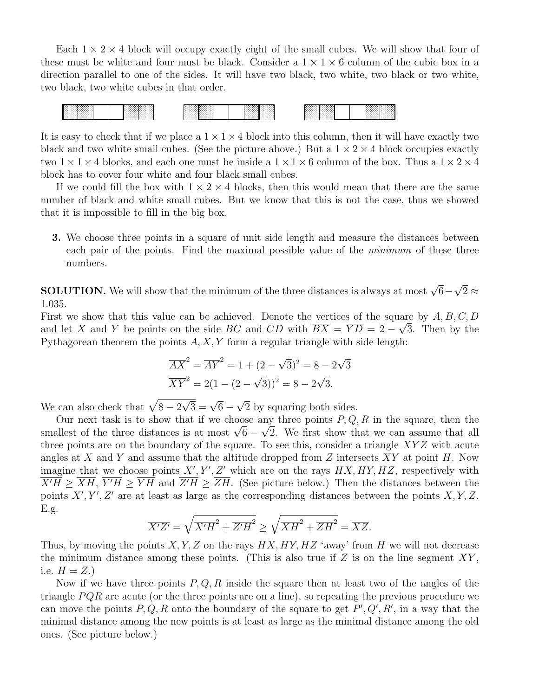Each  $1 \times 2 \times 4$  block will occupy exactly eight of the small cubes. We will show that four of these must be white and four must be black. Consider a  $1 \times 1 \times 6$  column of the cubic box in a direction parallel to one of the sides. It will have two black, two white, two black or two white, two black, two white cubes in that order.



It is easy to check that if we place a  $1 \times 1 \times 4$  block into this column, then it will have exactly two black and two white small cubes. (See the picture above.) But a  $1 \times 2 \times 4$  block occupies exactly two  $1 \times 1 \times 4$  blocks, and each one must be inside a  $1 \times 1 \times 6$  column of the box. Thus a  $1 \times 2 \times 4$ block has to cover four white and four black small cubes.

If we could fill the box with  $1 \times 2 \times 4$  blocks, then this would mean that there are the same number of black and white small cubes. But we know that this is not the case, thus we showed that it is impossible to fill in the big box.

3. We choose three points in a square of unit side length and measure the distances between each pair of the points. Find the maximal possible value of the *minimum* of these three numbers.

**SOLUTION.** We will show that the minimum of the three distances is always at most  $\sqrt{6}-\sqrt{2} \approx$ 1*.*035.

First we show that this value can be achieved. Denote the vertices of the square by *A, B, C, D* and let X and Y be points on the side *BC* and *CD* with  $BX = YD = 2 - \sqrt{3}$ . Then by the Pythagorean theorem the points *A, X, Y* form a regular triangle with side length:

$$
\overline{AX}^2 = \overline{AY}^2 = 1 + (2 - \sqrt{3})^2 = 8 - 2\sqrt{3}
$$
  

$$
\overline{XY}^2 = 2(1 - (2 - \sqrt{3}))^2 = 8 - 2\sqrt{3}.
$$

We can also check that  $\sqrt{8 - 2\sqrt{3}} = \sqrt{6} - \sqrt{2}$  by squaring both sides.

Our next task is to show that if we choose any three points *P, Q, R* in the square, then the smallest of the three distances is at most  $\sqrt{6} - \sqrt{2}$ . We first show that we can assume that all three points are on the boundary of the square. To see this, consider a triangle *XY Z* with acute angles at *X* and *Y* and assume that the altitude dropped from *Z* intersects *XY* at point *H*. Now imagine that we choose points  $X'$ ,  $Y'$ ,  $Z'$  which are on the rays  $HX$ ,  $HY$ ,  $HZ$ , respectively with  $X'H \geq XH$ ,  $Y'H \geq YH$  and  $Z'H \geq ZH$ . (See picture below.) Then the distances between the points  $X', Y', Z'$  are at least as large as the corresponding distances between the points  $X, Y, Z$ . E.g.

$$
\overline{X'Z'} = \sqrt{\overline{X'H}^2 + \overline{Z'H}^2} \ge \sqrt{\overline{XH}^2 + \overline{ZH}^2} = \overline{XZ}.
$$

Thus, by moving the points *X, Y, Z* on the rays *HX, HY, HZ* 'away' from *H* we will not decrease the minimum distance among these points. (This is also true if *Z* is on the line segment *XY* , i.e.  $H = Z.$ 

Now if we have three points *P, Q, R* inside the square then at least two of the angles of the triangle *P QR* are acute (or the three points are on a line), so repeating the previous procedure we can move the points  $P, Q, R$  onto the boundary of the square to get  $P', Q', R'$ , in a way that the minimal distance among the new points is at least as large as the minimal distance among the old ones. (See picture below.)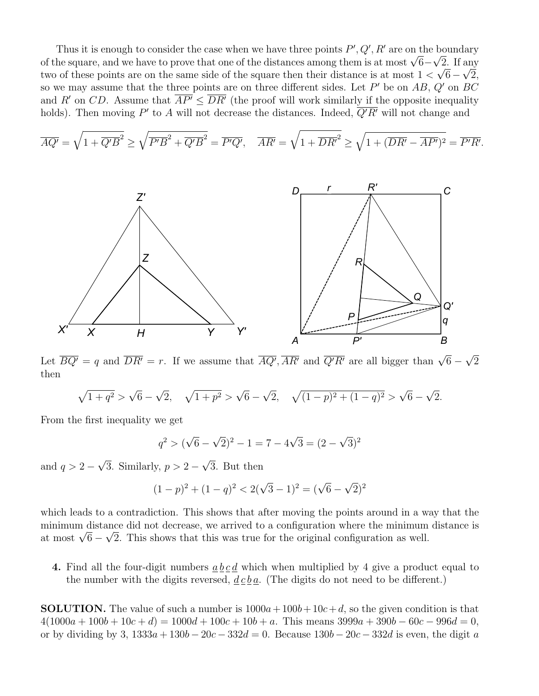Thus it is enough to consider the case when we have three points  $P', Q', R'$  are on the boundary of the square, and we have to prove that one of the distances among them is at most  $\sqrt{6}-\sqrt{2}$ . If any two of these points are on the same side of the square then their distance is at most  $1 < \sqrt{6} - \sqrt{2}$ , so we may assume that the three points are on three different sides. Let  $P'$  be on  $AB$ ,  $Q'$  on  $BC$ and *R*<sup>0</sup> on *CD*. Assume that  $\overline{AP'} \leq \overline{DR'}$  (the proof will work similarly if the opposite inequality holds). Then moving  $P'$  to  $A$  will not decrease the distances. Indeed,  $Q'R'$  will not change and

$$
\overline{AQ'} = \sqrt{1 + \overline{Q'B}^2} \ge \sqrt{\overline{P'B}^2 + \overline{Q'B}^2} = \overline{P'Q'}, \quad \overline{AR'} = \sqrt{1 + \overline{DR'}^2} \ge \sqrt{1 + (\overline{DR'} - \overline{AP'})^2} = \overline{P'R'}.
$$



Let  $\overline{BQ'} = q$  and  $\overline{DR'} = r$ . If we assume that  $\overline{AQ'}, \overline{AR'}$  and  $\overline{Q'R'}$  are all bigger than  $\sqrt{6} - \sqrt{2}$ then

$$
\sqrt{1+q^2} > \sqrt{6} - \sqrt{2}, \quad \sqrt{1+p^2} > \sqrt{6} - \sqrt{2}, \quad \sqrt{(1-p)^2 + (1-q)^2} > \sqrt{6} - \sqrt{2}.
$$

From the first inequality we get

$$
q^2 > (\sqrt{6} - \sqrt{2})^2 - 1 = 7 - 4\sqrt{3} = (2 - \sqrt{3})^2
$$

and  $q > 2 - \sqrt{3}$ . Similarly,  $p > 2 - \sqrt{3}$ . But then

$$
(1-p)^2 + (1-q)^2 < 2(\sqrt{3}-1)^2 = (\sqrt{6}-\sqrt{2})^2
$$

which leads to a contradiction. This shows that after moving the points around in a way that the minimum distance did not decrease, we arrived to a configuration where the minimum distance is at most  $\sqrt{6} - \sqrt{2}$ . This shows that this was true for the original configuration as well.

4. Find all the four-digit numbers *a b c d* which when multiplied by 4 give a product equal to the number with the digits reversed,  $\underline{d} \underline{c} \underline{b} \underline{a}$ . (The digits do not need to be different.)

**SOLUTION.** The value of such a number is  $1000a + 100b + 10c + d$ , so the given condition is that  $4(1000a + 100b + 10c + d) = 1000d + 100c + 10b + a$ . This means  $3999a + 390b - 60c - 996d = 0$ , or by dividing by 3,  $1333a + 130b - 20c - 332d = 0$ . Because  $130b - 20c - 332d$  is even, the digit *a*